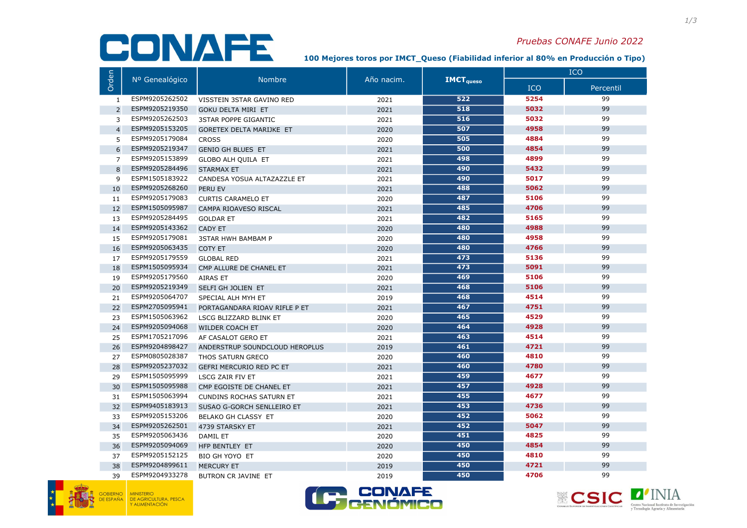## CONAFE

## Pruebas CONAFE Junio 2022

100 Mejores toros por IM€T\_Queso (Fiabilidad inferior al 80% en Producción o Tipo)

|                | Nº Genealógico | <b>Nombre</b>                   | Año nacim. | <b>IMCT</b> <sub>queso</sub> | ICO        |           |
|----------------|----------------|---------------------------------|------------|------------------------------|------------|-----------|
| Orden          |                |                                 |            |                              | <b>ICO</b> | Percentil |
| 1              | ESPM9205262502 | VISSTEIN 3STAR GAVINO RED       | 2021       | 522                          | 5254       | 99        |
| 2              | ESPM9205219350 | <b>GOKU DELTA MIRI ET</b>       | 2021       | 518                          | 5032       | 99        |
| 3              | ESPM9205262503 | <b>3STAR POPPE GIGANTIC</b>     | 2021       | 516                          | 5032       | 99        |
| $\overline{4}$ | ESPM9205153205 | <b>GORETEX DELTA MARIJKE ET</b> | 2020       | 507                          | 4958       | 99        |
| 5              | ESPM9205179084 | <b>CROSS</b>                    | 2020       | 505                          | 4884       | 99        |
| 6              | ESPM9205219347 | <b>GENIO GH BLUES ET</b>        | 2021       | 500                          | 4854       | 99        |
| $\overline{7}$ | ESPM9205153899 | <b>GLOBO ALH QUILA ET</b>       | 2021       | 498                          | 4899       | 99        |
| 8              | ESPM9205284496 | <b>STARMAX ET</b>               | 2021       | 490                          | 5432       | 99        |
| 9              | ESPM1505183922 | CANDESA YOSUA ALTAZAZZLE ET     | 2021       | 490                          | 5017       | 99        |
| 10             | ESPM9205268260 | PERU EV                         | 2021       | 488                          | 5062       | 99        |
| 11             | ESPM9205179083 | <b>CURTIS CARAMELO ET</b>       | 2020       | 487                          | 5106       | 99        |
| 12             | ESPM1505095987 | CAMPA RIOAVESO RISCAL           | 2021       | 485                          | 4706       | 99        |
| 13             | ESPM9205284495 | <b>GOLDAR ET</b>                | 2021       | 482                          | 5165       | 99        |
| 14             | ESPM9205143362 | <b>CADY ET</b>                  | 2020       | 480                          | 4988       | 99        |
| 15             | ESPM9205179081 | <b>3STAR HWH BAMBAM P</b>       | 2020       | 480                          | 4958       | 99        |
| 16             | ESPM9205063435 | <b>COTY ET</b>                  | 2020       | 480                          | 4766       | 99        |
| 17             | ESPM9205179559 | <b>GLOBAL RED</b>               | 2021       | 473                          | 5136       | 99        |
| 18             | ESPM1505095934 | CMP ALLURE DE CHANEL ET         | 2021       | 473                          | 5091       | 99        |
| 19             | ESPM9205179560 | <b>AIRAS ET</b>                 | 2020       | 469                          | 5106       | 99        |
| 20             | ESPM9205219349 | SELFI GH JOLIEN ET              | 2021       | 468                          | 5106       | 99        |
| 21             | ESPM9205064707 | SPECIAL ALH MYH ET              | 2019       | 468                          | 4514       | 99        |
| 22             | ESPM2705095941 | PORTAGANDARA RIOAV RIFLE P ET   | 2021       | 467                          | 4751       | 99        |
| 23             | ESPM1505063962 | LSCG BLIZZARD BLINK ET          | 2020       | 465                          | 4529       | 99        |
| 24             | ESPM9205094068 | <b>WILDER COACH ET</b>          | 2020       | 464                          | 4928       | 99        |
| 25             | ESPM1705217096 | AF CASALOT GERO ET              | 2021       | 463                          | 4514       | 99        |
| 26             | ESPM9204898427 | ANDERSTRUP SOUNDCLOUD HEROPLUS  | 2019       | 461                          | 4721       | 99        |
| 27             | ESPM0805028387 | THOS SATURN GRECO               | 2020       | 460                          | 4810       | 99        |
| 28             | ESPM9205237032 | <b>GEFRI MERCURIO RED PC ET</b> | 2021       | 460                          | 4780       | 99        |
| 29             | ESPM1505095999 | LSCG ZAIR FIV ET                | 2021       | 459                          | 4677       | 99        |
| 30             | ESPM1505095988 | CMP EGOISTE DE CHANEL ET        | 2021       | 457                          | 4928       | 99        |
| 31             | ESPM1505063994 | <b>CUNDINS ROCHAS SATURN ET</b> | 2021       | 455                          | 4677       | 99        |
| 32             | ESPM9405183913 | SUSAO G-GORCH SENLLEIRO ET      | 2021       | 453                          | 4736       | 99        |
| 33             | ESPM9205153206 | BELAKO GH CLASSY ET             | 2020       | 452                          | 5062       | 99        |
| 34             | ESPM9205262501 | 4739 STARSKY ET                 | 2021       | 452                          | 5047       | 99        |
| 35             | ESPM9205063436 | <b>DAMIL ET</b>                 | 2020       | 451                          | 4825       | 99        |
| 36             | ESPM9205094069 | HFP BENTLEY ET                  | 2020       | 450                          | 4854       | 99        |
| 37             | ESPM9205152125 | BIO GH YOYO ET                  | 2020       | 450                          | 4810       | 99        |
| 38             | ESPM9204899611 | <b>MERCURY ET</b>               | 2019       | 450                          | 4721       | 99        |
| 39             | ESPM9204933278 | BUTRON CR JAVINE ET             | 2019       | 450                          | 4706       | 99        |



MINISTERIO<br>DE AGRICULTURA, PESCA<br>Y ALIMENTACIÓN



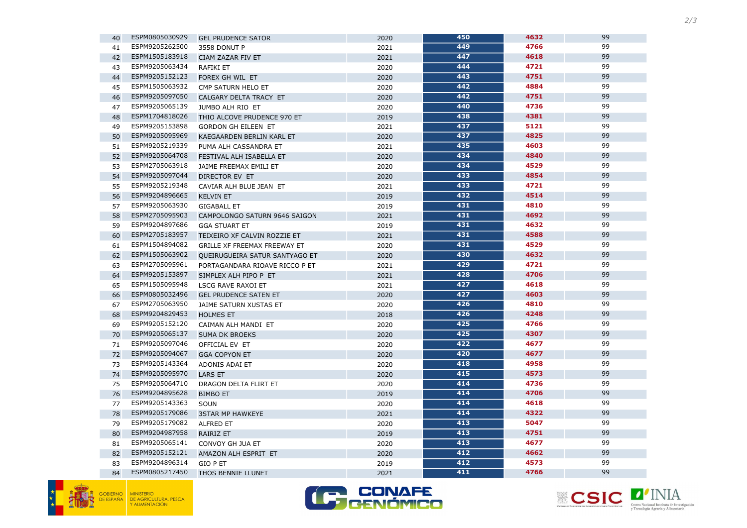